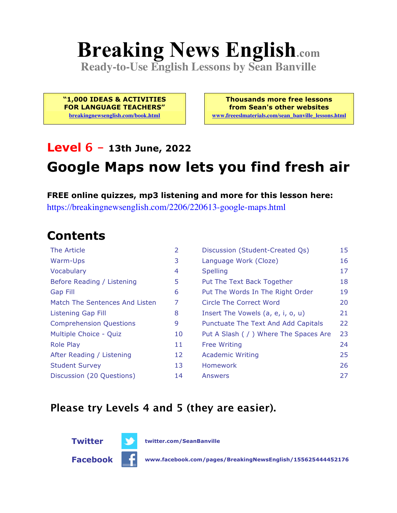# **Breaking News English.com**

**Ready-to-Use English Lessons by Sean Banville**

**"1,000 IDEAS & ACTIVITIES FOR LANGUAGE TEACHERS" breakingnewsenglish.com/book.html**

**Thousands more free lessons from Sean's other websites www.freeeslmaterials.com/sean\_banville\_lessons.html**

#### **Level 6 - 13th June, 2022**

## **Google Maps now lets you find fresh air**

**FREE online quizzes, mp3 listening and more for this lesson here:**

https://breakingnewsenglish.com/2206/220613-google-maps.html

#### **Contents**

| <b>The Article</b>             | $\overline{2}$ | Discussion (Student-Created Qs)        | 15 |
|--------------------------------|----------------|----------------------------------------|----|
| Warm-Ups                       | 3              | Language Work (Cloze)                  | 16 |
| Vocabulary                     | 4              | <b>Spelling</b>                        | 17 |
| Before Reading / Listening     | 5              | Put The Text Back Together             | 18 |
| <b>Gap Fill</b>                | 6              | Put The Words In The Right Order       | 19 |
| Match The Sentences And Listen | 7              | Circle The Correct Word                | 20 |
| <b>Listening Gap Fill</b>      | 8              | Insert The Vowels (a, e, i, o, u)      | 21 |
| <b>Comprehension Questions</b> | 9              | Punctuate The Text And Add Capitals    | 22 |
| Multiple Choice - Quiz         | 10             | Put A Slash ( / ) Where The Spaces Are | 23 |
| <b>Role Play</b>               | 11             | <b>Free Writing</b>                    | 24 |
| After Reading / Listening      | 12             | <b>Academic Writing</b>                | 25 |
| <b>Student Survey</b>          | 13             | <b>Homework</b>                        | 26 |
| Discussion (20 Questions)      | 14             | Answers                                | 27 |

#### **Please try Levels 4 and 5 (they are easier).**





**Facebook www.facebook.com/pages/BreakingNewsEnglish/155625444452176**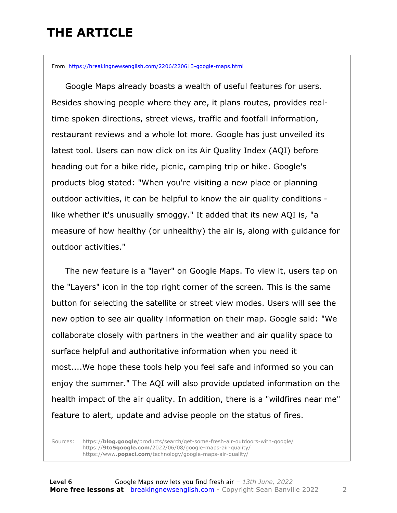### **THE ARTICLE**

From https://breakingnewsenglish.com/2206/220613-google-maps.html

 Google Maps already boasts a wealth of useful features for users. Besides showing people where they are, it plans routes, provides realtime spoken directions, street views, traffic and footfall information, restaurant reviews and a whole lot more. Google has just unveiled its latest tool. Users can now click on its Air Quality Index (AQI) before heading out for a bike ride, picnic, camping trip or hike. Google's products blog stated: "When you're visiting a new place or planning outdoor activities, it can be helpful to know the air quality conditions like whether it's unusually smoggy." It added that its new AQI is, "a measure of how healthy (or unhealthy) the air is, along with guidance for outdoor activities."

 The new feature is a "layer" on Google Maps. To view it, users tap on the "Layers" icon in the top right corner of the screen. This is the same button for selecting the satellite or street view modes. Users will see the new option to see air quality information on their map. Google said: "We collaborate closely with partners in the weather and air quality space to surface helpful and authoritative information when you need it most....We hope these tools help you feel safe and informed so you can enjoy the summer." The AQI will also provide updated information on the health impact of the air quality. In addition, there is a "wildfires near me" feature to alert, update and advise people on the status of fires.

Sources: https://**blog.google**/products/search/get-some-fresh-air-outdoors-with-google/ https://**9to5google.com**/2022/06/08/google-maps-air-quality/ https://www.**popsci.com**/technology/google-maps-air-quality/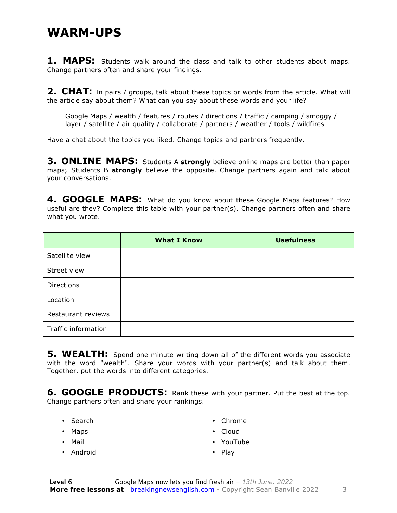#### **WARM-UPS**

**1. MAPS:** Students walk around the class and talk to other students about maps. Change partners often and share your findings.

**2. CHAT:** In pairs / groups, talk about these topics or words from the article. What will the article say about them? What can you say about these words and your life?

Google Maps / wealth / features / routes / directions / traffic / camping / smoggy / layer / satellite / air quality / collaborate / partners / weather / tools / wildfires

Have a chat about the topics you liked. Change topics and partners frequently.

**3. ONLINE MAPS:** Students A **strongly** believe online maps are better than paper maps; Students B **strongly** believe the opposite. Change partners again and talk about your conversations.

4. GOOGLE MAPS: What do you know about these Google Maps features? How useful are they? Complete this table with your partner(s). Change partners often and share what you wrote.

|                     | <b>What I Know</b> | <b>Usefulness</b> |
|---------------------|--------------------|-------------------|
| Satellite view      |                    |                   |
| Street view         |                    |                   |
| <b>Directions</b>   |                    |                   |
| Location            |                    |                   |
| Restaurant reviews  |                    |                   |
| Traffic information |                    |                   |

**5. WEALTH:** Spend one minute writing down all of the different words you associate with the word "wealth". Share your words with your partner(s) and talk about them. Together, put the words into different categories.

**6. GOOGLE PRODUCTS:** Rank these with your partner. Put the best at the top. Change partners often and share your rankings.

- Search
- Maps
- Mail
- Android
- Chrome
- Cloud
- YouTube
- Play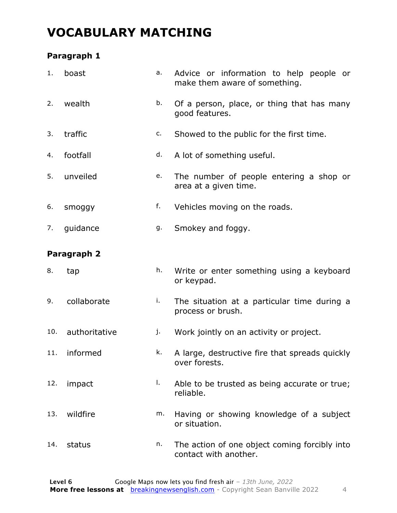### **VOCABULARY MATCHING**

#### **Paragraph 1**

| 1.  | boast         | a. | Advice or information to help people or<br>make them aware of something. |  |
|-----|---------------|----|--------------------------------------------------------------------------|--|
| 2.  | wealth        | b. | Of a person, place, or thing that has many<br>good features.             |  |
| 3.  | traffic       | c. | Showed to the public for the first time.                                 |  |
| 4.  | footfall      | d. | A lot of something useful.                                               |  |
| 5.  | unveiled      | e. | The number of people entering a shop or<br>area at a given time.         |  |
| 6.  | smoggy        | f. | Vehicles moving on the roads.                                            |  |
| 7.  | guidance      | g. | Smokey and foggy.                                                        |  |
|     | Paragraph 2   |    |                                                                          |  |
| 8.  | tap           | h. | Write or enter something using a keyboard<br>or keypad.                  |  |
| 9.  | collaborate   | i. | The situation at a particular time during a<br>process or brush.         |  |
| 10. |               |    |                                                                          |  |
|     | authoritative | j. | Work jointly on an activity or project.                                  |  |
| 11. | informed      | k. | A large, destructive fire that spreads quickly<br>over forests.          |  |
| 12. | impact        | Ι. | Able to be trusted as being accurate or true;<br>reliable.               |  |
| 13. | wildfire      | m. | Having or showing knowledge of a subject<br>or situation.                |  |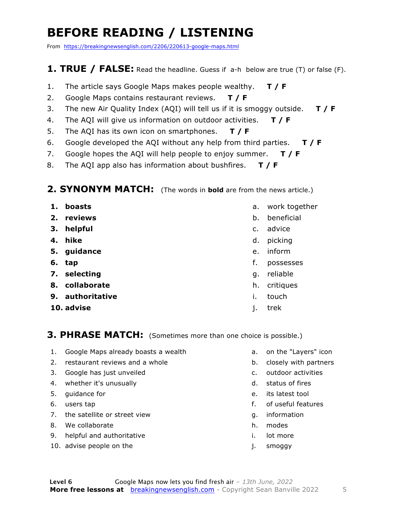### **BEFORE READING / LISTENING**

From https://breakingnewsenglish.com/2206/220613-google-maps.html

#### **1. TRUE / FALSE:** Read the headline. Guess if a-h below are true (T) or false (F).

- 1. The article says Google Maps makes people wealthy. **T / F**
- 2. Google Maps contains restaurant reviews. **T / F**
- 3. The new Air Quality Index (AQI) will tell us if it is smoggy outside. **T / F**
- 4. The AQI will give us information on outdoor activities. **T / F**
- 5. The AQI has its own icon on smartphones. **T / F**
- 6. Google developed the AQI without any help from third parties. **T / F**
- 7. Google hopes the AQI will help people to enjoy summer. **T / F**
- 8. The AQI app also has information about bushfires. **T / F**

#### **2. SYNONYM MATCH:** (The words in **bold** are from the news article.)

- **1. boasts**
- **2. reviews**
- **3. helpful**
- **4. hike**
- **5. guidance**
- **6. tap**
- **7. selecting**
- **8. collaborate**
- **9. authoritative**
- **10. advise**
- a. work together
- b. beneficial
- c. advice
- d. picking
- e. inform
- f. possesses
- g. reliable
- h. critiques
- i. touch
- j. trek

#### **3. PHRASE MATCH:** (Sometimes more than one choice is possible.)

- 1. Google Maps already boasts a wealth
- 2. restaurant reviews and a whole
- 3. Google has just unveiled
- 4. whether it's unusually
- 5. guidance for
- 6. users tap
- 7. the satellite or street view
- 8. We collaborate
- 9. helpful and authoritative
- 10. advise people on the
- a. on the "Layers" icon
- b. closely with partners
- c. outdoor activities
- d. status of fires
- e. its latest tool
- f. of useful features
- g. information
- h. modes
- i. lot more
- j. smoggy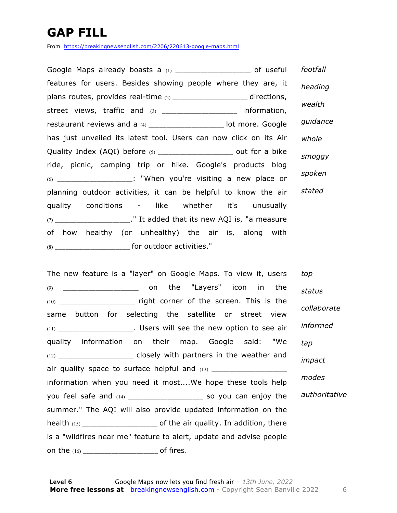### **GAP FILL**

From https://breakingnewsenglish.com/2206/220613-google-maps.html

Google Maps already boasts a (1) \_\_\_\_\_\_\_\_\_\_\_\_\_\_\_\_\_\_\_\_\_\_\_ of useful features for users. Besides showing people where they are, it plans routes, provides real-time (2) \_\_\_\_\_\_\_\_\_\_\_\_\_\_\_\_\_\_\_\_\_\_ directions, street views, traffic and (3) \_\_\_\_\_\_\_\_\_\_\_\_\_\_\_\_\_\_\_\_\_ information, restaurant reviews and a (4) \_\_\_\_\_\_\_\_\_\_\_\_\_\_\_\_\_\_\_\_\_\_\_ lot more. Google has just unveiled its latest tool. Users can now click on its Air Quality Index (AQI) before (5) \_\_\_\_\_\_\_\_\_\_\_\_\_\_\_\_\_\_\_\_\_\_\_ out for a bike ride, picnic, camping trip or hike. Google's products blog  $(6)$   $\blacksquare$   $\blacksquare$   $\blacksquare$   $\blacksquare$   $\blacksquare$   $\blacksquare$   $\blacksquare$   $\blacksquare$   $\blacksquare$   $\blacksquare$   $\blacksquare$   $\blacksquare$   $\blacksquare$   $\blacksquare$   $\blacksquare$   $\blacksquare$   $\blacksquare$   $\blacksquare$   $\blacksquare$   $\blacksquare$   $\blacksquare$   $\blacksquare$   $\blacksquare$   $\blacksquare$   $\blacksquare$   $\blacksquare$   $\blacksquare$   $\blacksquare$   $\blacksquare$   $\blacksquare$   $\blacksquare$ planning outdoor activities, it can be helpful to know the air quality conditions - like whether it's unusually  $(7)$  \_\_\_\_\_\_\_\_\_\_\_\_\_\_\_\_\_\_\_\_\_." It added that its new AQI is, "a measure of how healthy (or unhealthy) the air is, along with (8) \_\_\_\_\_\_\_\_\_\_\_\_\_\_\_\_\_\_\_\_\_ for outdoor activities." *footfall heading wealth guidance whole smoggy spoken stated*

The new feature is a "layer" on Google Maps. To view it, users (9) \_\_\_\_\_\_\_\_\_\_\_\_\_\_\_\_\_\_\_\_\_ on the "Layers" icon in the (10) \_\_\_\_\_\_\_\_\_\_\_\_\_\_\_\_\_\_\_\_\_ right corner of the screen. This is the same button for selecting the satellite or street view  $(11)$   $(11)$   $(12)$   $(12)$   $(13)$   $(13)$   $(14)$   $(15)$   $(16)$   $(17)$   $(18)$   $(19)$   $(19)$   $(19)$   $(19)$   $(19)$   $(19)$   $(19)$   $(19)$   $(19)$   $(19)$   $(19)$   $(19)$   $(19)$   $(19)$   $(19)$   $(19)$   $(19)$   $(19)$   $(19)$   $(19)$   $(19$ quality information on their map. Google said: "We (12) **\_\_\_\_\_\_\_\_\_\_\_\_\_\_\_** closely with partners in the weather and air quality space to surface helpful and  $(13)$ information when you need it most....We hope these tools help you feel safe and (14) and  $\overline{a}$  so you can enjoy the summer." The AQI will also provide updated information on the health (15) \_\_\_\_\_\_\_\_\_\_\_\_\_\_\_\_\_\_\_\_\_ of the air quality. In addition, there is a "wildfires near me" feature to alert, update and advise people on the (16) \_\_\_\_\_\_\_\_\_\_\_\_\_\_\_\_\_\_\_\_\_\_\_\_\_\_ of fires. *top status collaborate informed tap impact modes authoritative*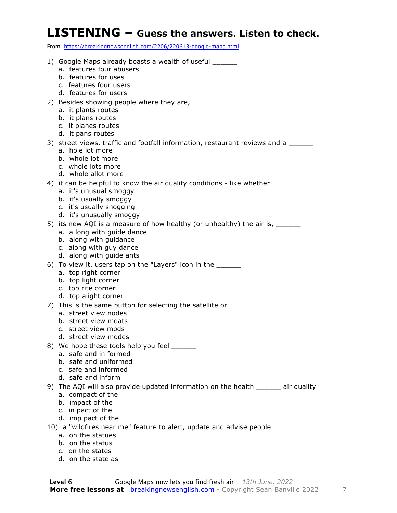#### **LISTENING – Guess the answers. Listen to check.**

From https://breakingnewsenglish.com/2206/220613-google-maps.html

| 1) Google Maps already boasts a wealth of useful ______                                           |
|---------------------------------------------------------------------------------------------------|
| a. features four abusers                                                                          |
| b. features for uses                                                                              |
| c. features four users                                                                            |
| d. features for users                                                                             |
| 2) Besides showing people where they are, ______                                                  |
| a. it plants routes                                                                               |
| b. it plans routes                                                                                |
| c. it planes routes                                                                               |
| d. it pans routes                                                                                 |
| 3) street views, traffic and footfall information, restaurant reviews and a _____                 |
| a. hole lot more                                                                                  |
| b. whole lot more                                                                                 |
| c. whole lots more                                                                                |
| d. whole allot more                                                                               |
| 4) it can be helpful to know the air quality conditions - like whether _________                  |
| a. it's unusual smoggy                                                                            |
| b. it's usually smoggy                                                                            |
| c. it's usually snogging                                                                          |
| d. it's unusually smoggy                                                                          |
| 5) its new AQI is a measure of how healthy (or unhealthy) the air is, __________                  |
| a. a long with guide dance                                                                        |
| b. along with guidance                                                                            |
| c. along with guy dance                                                                           |
| d. along with guide ants                                                                          |
| 6) To view it, users tap on the "Layers" icon in the _______                                      |
| a. top right corner                                                                               |
| b. top light corner                                                                               |
| c. top rite corner                                                                                |
| d. top alight corner                                                                              |
| 7) This is the same button for selecting the satellite or _______                                 |
| a. street view nodes                                                                              |
| b. street view moats                                                                              |
| c. street view mods                                                                               |
| d. street view modes                                                                              |
| 8) We hope these tools help you feel ______                                                       |
| a. safe and in formed                                                                             |
| b. safe and uniformed                                                                             |
| c. safe and informed                                                                              |
| d. safe and inform                                                                                |
| 9) The AQI will also provide updated information on the health _______ air quality                |
| a. compact of the                                                                                 |
| b. impact of the                                                                                  |
| c. in pact of the                                                                                 |
| d. imp pact of the                                                                                |
|                                                                                                   |
| 10) a "wildfires near me" feature to alert, update and advise people _______<br>a. on the statues |
| b. on the status                                                                                  |
|                                                                                                   |

- c. on the states
- d. on the state as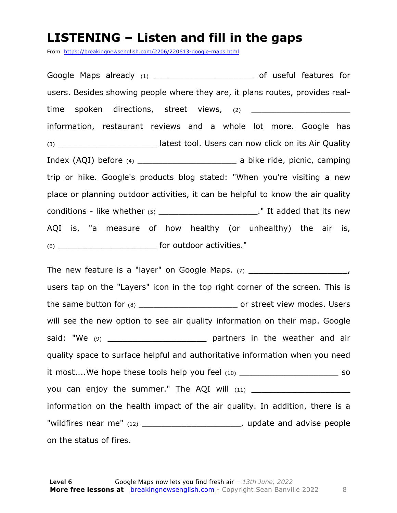#### **LISTENING – Listen and fill in the gaps**

From https://breakingnewsenglish.com/2206/220613-google-maps.html

Google Maps already (1) \_\_\_\_\_\_\_\_\_\_\_\_\_\_\_\_\_\_\_\_\_\_\_\_\_\_\_ of useful features for users. Besides showing people where they are, it plans routes, provides realtime spoken directions, street views, (2) \_\_\_\_\_\_\_\_\_\_\_\_\_\_\_\_\_\_\_\_ information, restaurant reviews and a whole lot more. Google has (3) **South Contract Seart Street Street Street Street Street Street Street Street Street Street Street Street Street Street Street Street Street Street Street Street Street Street Street Street Street Street Street Street** Index (AQI) before (4) \_\_\_\_\_\_\_\_\_\_\_\_\_\_\_\_\_\_\_\_ a bike ride, picnic, camping trip or hike. Google's products blog stated: "When you're visiting a new place or planning outdoor activities, it can be helpful to know the air quality conditions - like whether  $(5)$  \_\_\_\_\_\_\_\_\_\_\_\_\_\_\_\_\_\_\_\_\_\_\_\_\_\_\_\_." It added that its new AQI is, "a measure of how healthy (or unhealthy) the air is, (6) \_\_\_\_\_\_\_\_\_\_\_\_\_\_\_\_\_\_\_\_ for outdoor activities."

The new feature is a "layer" on Google Maps.  $(7)$  \_\_\_\_\_\_\_\_\_\_\_\_\_\_\_\_\_\_\_\_\_\_\_\_, users tap on the "Layers" icon in the top right corner of the screen. This is the same button for (8) \_\_\_\_\_\_\_\_\_\_\_\_\_\_\_\_\_\_\_\_ or street view modes. Users will see the new option to see air quality information on their map. Google said: "We (9) \_\_\_\_\_\_\_\_\_\_\_\_\_\_\_\_\_\_\_\_ partners in the weather and air quality space to surface helpful and authoritative information when you need it most....We hope these tools help you feel (10) \_\_\_\_\_\_\_\_\_\_\_\_\_\_\_\_\_\_\_\_\_\_\_\_\_\_\_\_\_ so you can enjoy the summer." The AQI will (11) \_\_\_\_\_\_\_\_\_\_\_\_\_\_\_\_\_\_\_\_ information on the health impact of the air quality. In addition, there is a "wildfires near me" (12) \_\_\_\_\_\_\_\_\_\_\_\_\_\_\_\_\_\_\_\_\_\_\_, update and advise people on the status of fires.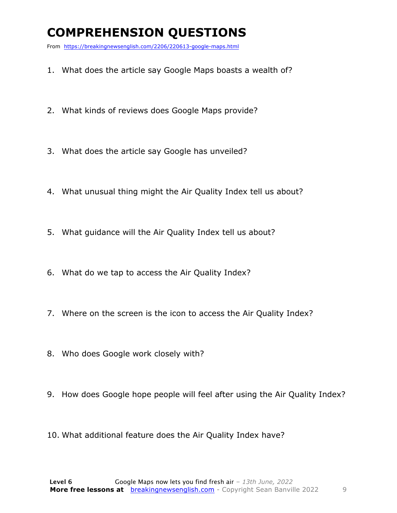### **COMPREHENSION QUESTIONS**

From https://breakingnewsenglish.com/2206/220613-google-maps.html

- 1. What does the article say Google Maps boasts a wealth of?
- 2. What kinds of reviews does Google Maps provide?
- 3. What does the article say Google has unveiled?
- 4. What unusual thing might the Air Quality Index tell us about?
- 5. What guidance will the Air Quality Index tell us about?
- 6. What do we tap to access the Air Quality Index?
- 7. Where on the screen is the icon to access the Air Quality Index?
- 8. Who does Google work closely with?
- 9. How does Google hope people will feel after using the Air Quality Index?
- 10. What additional feature does the Air Quality Index have?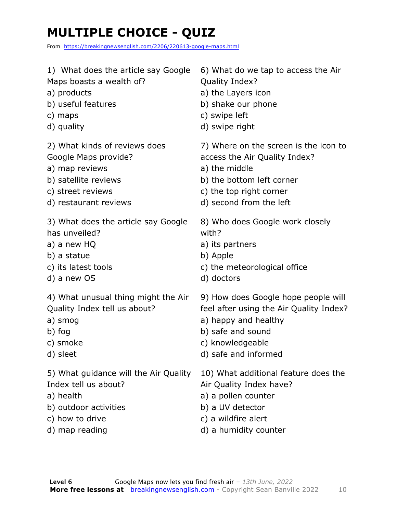### **MULTIPLE CHOICE - QUIZ**

From https://breakingnewsenglish.com/2206/220613-google-maps.html

| 1) What does the article say Google   | 6) What do we tap to access the Air     |
|---------------------------------------|-----------------------------------------|
| Maps boasts a wealth of?              | Quality Index?                          |
| a) products                           | a) the Layers icon                      |
| b) useful features                    | b) shake our phone                      |
| c) maps                               | c) swipe left                           |
| d) quality                            | d) swipe right                          |
| 2) What kinds of reviews does         | 7) Where on the screen is the icon to   |
| Google Maps provide?                  | access the Air Quality Index?           |
| a) map reviews                        | a) the middle                           |
| b) satellite reviews                  | b) the bottom left corner               |
| c) street reviews                     | c) the top right corner                 |
| d) restaurant reviews                 | d) second from the left                 |
| 3) What does the article say Google   | 8) Who does Google work closely         |
| has unveiled?                         | with?                                   |
| a) a new HQ                           | a) its partners                         |
| b) a statue                           | b) Apple                                |
| c) its latest tools                   | c) the meteorological office            |
| d) a new OS                           | d) doctors                              |
| 4) What unusual thing might the Air   | 9) How does Google hope people will     |
| Quality Index tell us about?          | feel after using the Air Quality Index? |
| a) smog                               | a) happy and healthy                    |
| b) fog                                | b) safe and sound                       |
| c) smoke                              | c) knowledgeable                        |
| d) sleet                              | d) safe and informed                    |
| 5) What guidance will the Air Quality | 10) What additional feature does the    |
| Index tell us about?                  | Air Quality Index have?                 |
| a) health                             | a) a pollen counter                     |
| b) outdoor activities                 | b) a UV detector                        |
| c) how to drive                       | c) a wildfire alert                     |
| d) map reading                        | d) a humidity counter                   |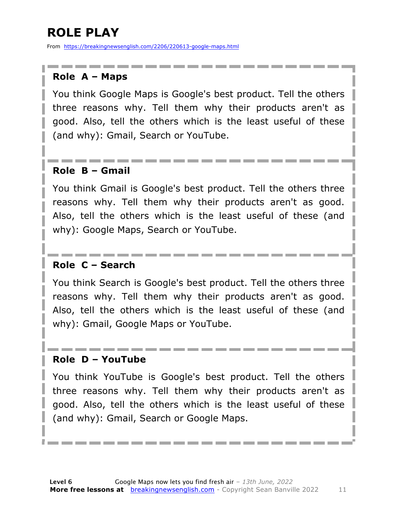### **ROLE PLAY**

From https://breakingnewsenglish.com/2206/220613-google-maps.html

#### **Role A – Maps**

You think Google Maps is Google's best product. Tell the others three reasons why. Tell them why their products aren't as good. Also, tell the others which is the least useful of these (and why): Gmail, Search or YouTube.

#### **Role B – Gmail**

You think Gmail is Google's best product. Tell the others three reasons why. Tell them why their products aren't as good. Also, tell the others which is the least useful of these (and why): Google Maps, Search or YouTube.

#### **Role C – Search**

You think Search is Google's best product. Tell the others three reasons why. Tell them why their products aren't as good. Also, tell the others which is the least useful of these (and why): Gmail, Google Maps or YouTube.

#### **Role D – YouTube**

You think YouTube is Google's best product. Tell the others three reasons why. Tell them why their products aren't as good. Also, tell the others which is the least useful of these (and why): Gmail, Search or Google Maps.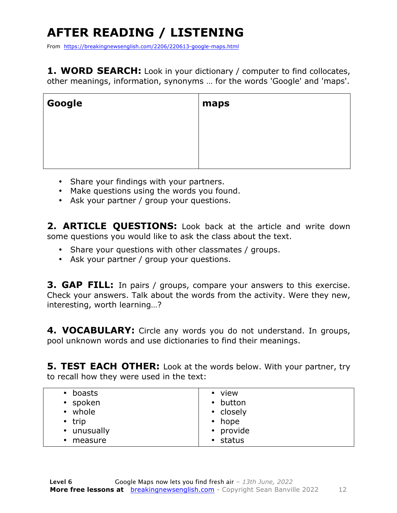### **AFTER READING / LISTENING**

From https://breakingnewsenglish.com/2206/220613-google-maps.html

**1. WORD SEARCH:** Look in your dictionary / computer to find collocates, other meanings, information, synonyms … for the words 'Google' and 'maps'.

| Google | maps |
|--------|------|
|        |      |
|        |      |
|        |      |

- Share your findings with your partners.
- Make questions using the words you found.
- Ask your partner / group your questions.

2. **ARTICLE OUESTIONS:** Look back at the article and write down some questions you would like to ask the class about the text.

- Share your questions with other classmates / groups.
- Ask your partner / group your questions.

**3. GAP FILL:** In pairs / groups, compare your answers to this exercise. Check your answers. Talk about the words from the activity. Were they new, interesting, worth learning…?

**4. VOCABULARY:** Circle any words you do not understand. In groups, pool unknown words and use dictionaries to find their meanings.

**5. TEST EACH OTHER:** Look at the words below. With your partner, try to recall how they were used in the text:

| boasts<br>$\bullet$<br>• spoken<br>• whole<br>$\cdot$ trip<br>• unusually<br>• measure | • view<br>• button<br>• closely<br>$\bullet$ hope<br>• provide<br>$\cdot$ status |
|----------------------------------------------------------------------------------------|----------------------------------------------------------------------------------|
|----------------------------------------------------------------------------------------|----------------------------------------------------------------------------------|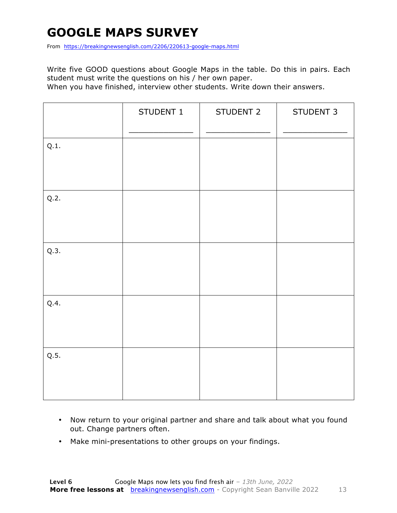### **GOOGLE MAPS SURVEY**

From https://breakingnewsenglish.com/2206/220613-google-maps.html

Write five GOOD questions about Google Maps in the table. Do this in pairs. Each student must write the questions on his / her own paper.

When you have finished, interview other students. Write down their answers.

|      | STUDENT 1 | STUDENT 2 | STUDENT 3 |
|------|-----------|-----------|-----------|
| Q.1. |           |           |           |
| Q.2. |           |           |           |
| Q.3. |           |           |           |
| Q.4. |           |           |           |
| Q.5. |           |           |           |

- Now return to your original partner and share and talk about what you found out. Change partners often.
- Make mini-presentations to other groups on your findings.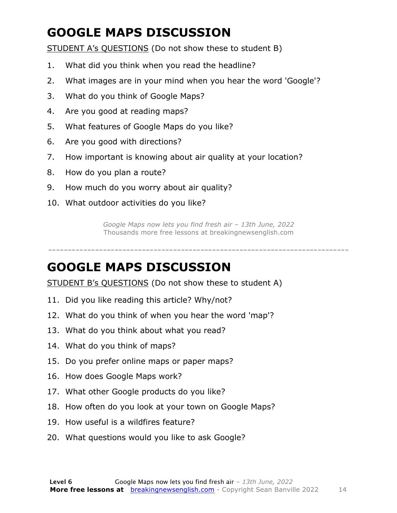### **GOOGLE MAPS DISCUSSION**

STUDENT A's QUESTIONS (Do not show these to student B)

- 1. What did you think when you read the headline?
- 2. What images are in your mind when you hear the word 'Google'?
- 3. What do you think of Google Maps?
- 4. Are you good at reading maps?
- 5. What features of Google Maps do you like?
- 6. Are you good with directions?
- 7. How important is knowing about air quality at your location?
- 8. How do you plan a route?
- 9. How much do you worry about air quality?
- 10. What outdoor activities do you like?

*Google Maps now lets you find fresh air – 13th June, 2022* Thousands more free lessons at breakingnewsenglish.com

-----------------------------------------------------------------------------

#### **GOOGLE MAPS DISCUSSION**

STUDENT B's QUESTIONS (Do not show these to student A)

- 11. Did you like reading this article? Why/not?
- 12. What do you think of when you hear the word 'map'?
- 13. What do you think about what you read?
- 14. What do you think of maps?
- 15. Do you prefer online maps or paper maps?
- 16. How does Google Maps work?
- 17. What other Google products do you like?
- 18. How often do you look at your town on Google Maps?
- 19. How useful is a wildfires feature?
- 20. What questions would you like to ask Google?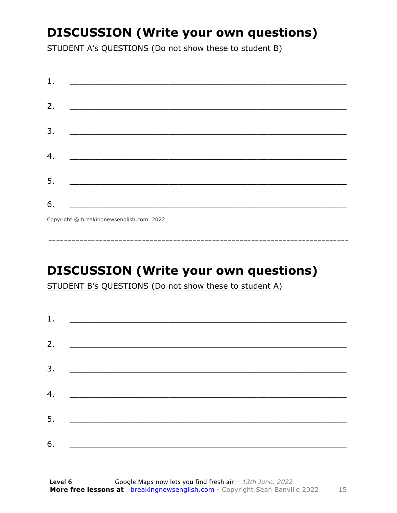### **DISCUSSION (Write your own questions)**

STUDENT A's QUESTIONS (Do not show these to student B)

| 1. |                                          |
|----|------------------------------------------|
|    |                                          |
| 2. |                                          |
|    |                                          |
| 3. |                                          |
|    |                                          |
| 4. |                                          |
|    |                                          |
| 5. |                                          |
|    |                                          |
| 6. |                                          |
|    | Copyright © breakingnewsenglish.com 2022 |

### **DISCUSSION (Write your own questions)**

STUDENT B's QUESTIONS (Do not show these to student A)

| 1. | <u> Alexandria de la contrada de la contrada de la contrada de la contrada de la contrada de la contrada de la c</u> |  |
|----|----------------------------------------------------------------------------------------------------------------------|--|
|    |                                                                                                                      |  |
| 2. |                                                                                                                      |  |
| 3. |                                                                                                                      |  |
|    |                                                                                                                      |  |
| 4. |                                                                                                                      |  |
| 5. |                                                                                                                      |  |
|    |                                                                                                                      |  |
| 6. |                                                                                                                      |  |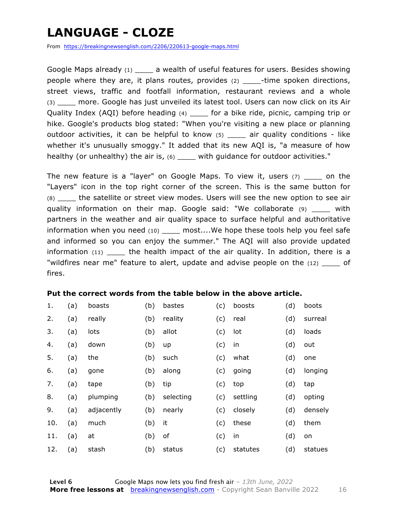### **LANGUAGE - CLOZE**

From https://breakingnewsenglish.com/2206/220613-google-maps.html

Google Maps already (1) a wealth of useful features for users. Besides showing people where they are, it plans routes, provides (2) \_\_\_\_\_-time spoken directions, street views, traffic and footfall information, restaurant reviews and a whole (3) more. Google has just unveiled its latest tool. Users can now click on its Air Quality Index (AQI) before heading (4) \_\_\_\_ for a bike ride, picnic, camping trip or hike. Google's products blog stated: "When you're visiting a new place or planning outdoor activities, it can be helpful to know (5) \_\_\_\_ air quality conditions - like whether it's unusually smoggy." It added that its new AQI is, "a measure of how healthy (or unhealthy) the air is, (6) \_\_\_\_ with guidance for outdoor activities."

The new feature is a "layer" on Google Maps. To view it, users  $(7)$  \_\_\_ on the "Layers" icon in the top right corner of the screen. This is the same button for (8) the satellite or street view modes. Users will see the new option to see air quality information on their map. Google said: "We collaborate (9) \_\_\_\_ with partners in the weather and air quality space to surface helpful and authoritative information when you need (10) \_\_\_\_\_ most....We hope these tools help you feel safe and informed so you can enjoy the summer." The AQI will also provide updated information  $(11)$  \_\_\_\_ the health impact of the air quality. In addition, there is a "wildfires near me" feature to alert, update and advise people on the  $(12)$  of fires.

#### **Put the correct words from the table below in the above article.**

| 1.  | (a) | boasts     | (b) | bastes    | (c) | boosts   | (d) | boots   |
|-----|-----|------------|-----|-----------|-----|----------|-----|---------|
| 2.  | (a) | really     | (b) | reality   | (c) | real     | (d) | surreal |
| 3.  | (a) | lots       | (b) | allot     | (c) | lot      | (d) | loads   |
| 4.  | (a) | down       | (b) | up        | (c) | in       | (d) | out     |
| 5.  | (a) | the        | (b) | such      | (c) | what     | (d) | one     |
| 6.  | (a) | gone       | (b) | along     | (c) | going    | (d) | longing |
| 7.  | (a) | tape       | (b) | tip       | (c) | top      | (d) | tap     |
| 8.  | (a) | plumping   | (b) | selecting | (c) | settling | (d) | opting  |
| 9.  | (a) | adjacently | (b) | nearly    | (c) | closely  | (d) | densely |
| 10. | (a) | much       | (b) | it        | (c) | these    | (d) | them    |
| 11. | (a) | at         | (b) | of        | (c) | in       | (d) | on      |
| 12. | (a) | stash      | (b) | status    | (c) | statutes | (d) | statues |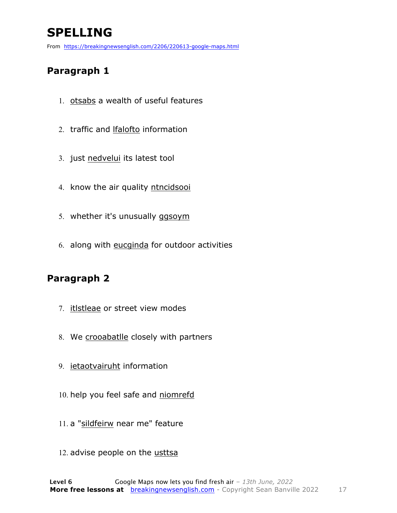### **SPELLING**

From https://breakingnewsenglish.com/2206/220613-google-maps.html

#### **Paragraph 1**

- 1. otsabs a wealth of useful features
- 2. traffic and **Ifalofto** information
- 3. just nedvelui its latest tool
- 4. know the air quality ntncidsooi
- 5. whether it's unusually ggsoym
- 6. along with eucginda for outdoor activities

#### **Paragraph 2**

- 7. itlstleae or street view modes
- 8. We crooabatlle closely with partners
- 9. ietaotvairuht information
- 10. help you feel safe and niomrefd
- 11. a "sildfeirw near me" feature
- 12. advise people on the usttsa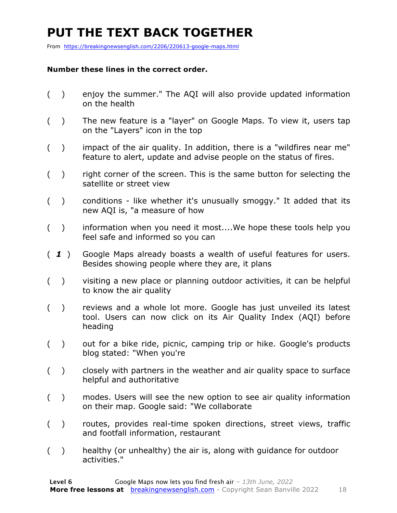### **PUT THE TEXT BACK TOGETHER**

From https://breakingnewsenglish.com/2206/220613-google-maps.html

#### **Number these lines in the correct order.**

- ( ) enjoy the summer." The AQI will also provide updated information on the health
- ( ) The new feature is a "layer" on Google Maps. To view it, users tap on the "Layers" icon in the top
- ( ) impact of the air quality. In addition, there is a "wildfires near me" feature to alert, update and advise people on the status of fires.
- $($ ) right corner of the screen. This is the same button for selecting the satellite or street view
- ( ) conditions like whether it's unusually smoggy." It added that its new AQI is, "a measure of how
- ( ) information when you need it most....We hope these tools help you feel safe and informed so you can
- ( *1* ) Google Maps already boasts a wealth of useful features for users. Besides showing people where they are, it plans
- ( ) visiting a new place or planning outdoor activities, it can be helpful to know the air quality
- ( ) reviews and a whole lot more. Google has just unveiled its latest tool. Users can now click on its Air Quality Index (AQI) before heading
- ( ) out for a bike ride, picnic, camping trip or hike. Google's products blog stated: "When you're
- ( ) closely with partners in the weather and air quality space to surface helpful and authoritative
- ( ) modes. Users will see the new option to see air quality information on their map. Google said: "We collaborate
- ( ) routes, provides real-time spoken directions, street views, traffic and footfall information, restaurant
- ( ) healthy (or unhealthy) the air is, along with guidance for outdoor activities."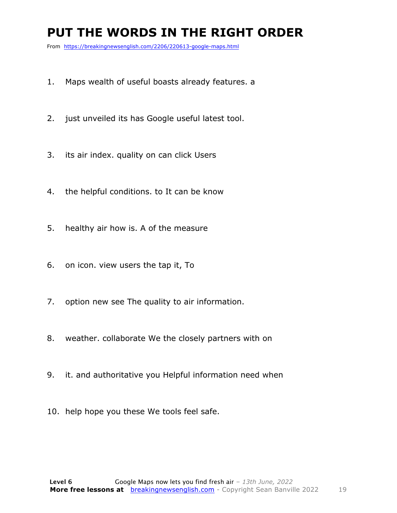#### **PUT THE WORDS IN THE RIGHT ORDER**

From https://breakingnewsenglish.com/2206/220613-google-maps.html

- 1. Maps wealth of useful boasts already features. a
- 2. just unveiled its has Google useful latest tool.
- 3. its air index. quality on can click Users
- 4. the helpful conditions. to It can be know
- 5. healthy air how is. A of the measure
- 6. on icon. view users the tap it, To
- 7. option new see The quality to air information.
- 8. weather. collaborate We the closely partners with on
- 9. it. and authoritative you Helpful information need when
- 10. help hope you these We tools feel safe.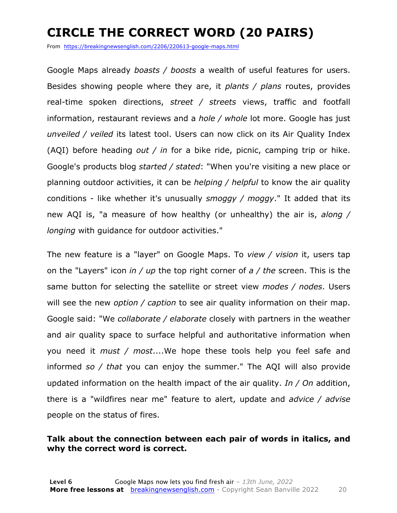### **CIRCLE THE CORRECT WORD (20 PAIRS)**

From https://breakingnewsenglish.com/2206/220613-google-maps.html

Google Maps already *boasts / boosts* a wealth of useful features for users. Besides showing people where they are, it *plants / plans* routes, provides real-time spoken directions, *street / streets* views, traffic and footfall information, restaurant reviews and a *hole / whole* lot more. Google has just *unveiled / veiled* its latest tool. Users can now click on its Air Quality Index (AQI) before heading *out / in* for a bike ride, picnic, camping trip or hike. Google's products blog *started / stated*: "When you're visiting a new place or planning outdoor activities, it can be *helping / helpful* to know the air quality conditions - like whether it's unusually *smoggy / moggy*." It added that its new AQI is, "a measure of how healthy (or unhealthy) the air is, *along / longing* with guidance for outdoor activities."

The new feature is a "layer" on Google Maps. To *view / vision* it, users tap on the "Layers" icon *in / up* the top right corner of *a / the* screen. This is the same button for selecting the satellite or street view *modes / nodes*. Users will see the new *option / caption* to see air quality information on their map. Google said: "We *collaborate / elaborate* closely with partners in the weather and air quality space to surface helpful and authoritative information when you need it *must / most*....We hope these tools help you feel safe and informed *so / that* you can enjoy the summer." The AQI will also provide updated information on the health impact of the air quality. *In / On* addition, there is a "wildfires near me" feature to alert, update and *advice / advise* people on the status of fires.

#### **Talk about the connection between each pair of words in italics, and why the correct word is correct.**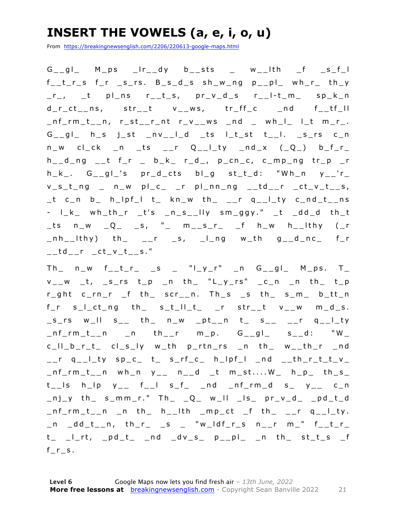### **INSERT THE VOWELS (a, e, i, o, u)**

From https://breakingnewsenglish.com/2206/220613-google-maps.html

 $G_{--}gl_{-}$  M\_ps  $_{-}lr_{--}dy$  b\_\_sts \_ w\_\_lth \_f \_s\_f\_l  $f_t$ <sub>r</sub>  $f$ <sub>r</sub>  $f$ <sub>r</sub>  $f$ <sub>r</sub>  $f$ <sub>r</sub>  $f$ <sub>r</sub>  $f$ <sub>r</sub>  $f$ <sub>r</sub>  $f$ <sub>r</sub>  $g$ <sub>r</sub>  $g$ <sub>r</sub>  $g$ <sub>r</sub>  $g$ <sub>r</sub>  $g$ <sub>r</sub>  $g$ <sub>r</sub>  $g$ <sub>r</sub>  $g$ <sub>r</sub>  $g$ <sub>r</sub>  $g$ <sub>r</sub>  $g$ <sub>r</sub>  $g$ <sub>r</sub>  $g$ <sub>r</sub>  $g$ <sub>r</sub>  $g$ <sub>r</sub>  $g$ <sub>r</sub>  $g$ <sub>r</sub>  $g$ <sub>r</sub>  $g$ <sub>r</sub>  $g$ <sub>r</sub>  $g$ <sub>r</sub>  $g$ <sub>r</sub>  $g$  $r_-,$  tpl\_ns r\_t\_s, pr\_v\_d\_s r\_\_l-t\_m\_ sp\_k\_n d\_r\_ct\_\_ns, str\_\_t v\_\_ws, tr\_ff\_c \_nd f\_\_tf\_ll  $_n$ nf\_rm\_t\_\_n, r\_st\_\_r\_nt r\_v\_\_ws \_nd \_ wh\_l\_ l\_t m\_r\_.  $G_{--}gl_{-}$  h\_s j\_st \_nv\_\_l\_d \_ts l\_t\_st t\_\_l. \_s\_rs c\_n  $n_w$  cl\_ck \_n \_ts \_\_r Q\_\_l\_ty \_nd\_x (\_Q\_) b\_f\_r\_  $h_{-d}$ ng  $_{-t}$  f<sub>-</sub>r  $_{-}$  b<sub>-</sub>k<sub>-</sub> r<sub>-</sub>d<sub>-</sub>, p<sub>-</sub>cn<sub>-</sub>c, c<sub>-</sub>mp<sub>-</sub>ng tr<sub>-</sub>p<sub>-</sub>r  $h_k$ . G\_\_gl\_'s  $pr_d$ \_cts bl\_g st\_t\_d: "Wh\_n  $y_{-}$ 'r\_  $v_s_t_n$ ng  $v_s$ n w pl\_c\_ \_r pl\_nn\_ng \_\_td\_\_r \_ct\_v\_t\_\_s,  $_t$  c\_n b\_ h\_lpf\_l t\_ kn\_w th\_ \_\_r q\_\_l\_ty c\_nd\_t\_\_ns - l\_k\_ wh\_th\_r \_t's \_n\_s\_\_lly sm\_ggy." \_t \_dd\_d th\_t  $_t$ ts n\_w \_Q\_ \_s, "\_ m\_\_s\_r\_ \_f h\_w h\_\_lthy (\_r  $\n _n$ nh $\_$ lthy) th $\_$   $\_$ r  $\_$ s,  $\_$ l $\_$ ng w $\_$ th g $\_$  $\_$ d $\_$ nc $\_$  f $\_$ r  $\_td\_r$   $\_ct\_v\_t$ <sub> $--$ </sub>s."

 $Th$   $n_w$   $f_t$   $f_r$   $s$   $s$   $''l_y$   $r''$   $n$   $G_gl$   $M_p$ s.  $T$  $v_$ w t, s\_rs t\_p \_n th\_ "L\_y\_rs" \_c\_n \_n th\_ t\_p r\_ght c\_rn\_r \_f th\_ scr\_\_n. Th\_s \_s th\_ s\_m\_ b\_tt\_n  $f_r$  s\_I\_ct\_ng th\_ s\_t\_II\_t\_ \_r str\_\_t v\_\_w m\_d\_s.  $\text{S}_{-}$ rs w\_ll s\_\_ th\_ n\_w \_pt\_\_n t\_ s\_\_ \_\_r q\_\_l\_ty  $\n _nf_rm_t_n$  n n th r m p.  $G_qg_l$  s d: "W\_ c\_ll\_b\_r\_t\_ cl\_s\_ly w\_th p\_rtn\_rs \_n th\_ w\_\_th\_r \_nd  $\_$ r q $\_$ l $\_$ ty sp $\_$ c $\_$  t $\_$  s $\_$ rf $\_$ c $\_$  h $\_$ l $p$ f $\_$ l  $\_$ nd  $\_$  $\_$ th $\_$ r $\_$ t $\_$ t $\_$ v $\_$  $_n$ f\_rm\_t\_\_n wh\_n y\_\_ n\_\_d \_t m\_st....W\_ h\_p\_ th\_s\_  $t_{-}$ ls h\_lp  $y_{-}$  f\_\_l s\_f\_ \_nd \_nf\_rm\_d s\_  $y_{-}$  c\_n  $\lfloor nj_y$  th s\_mm\_r." Th  $\lfloor Q_{-} \le m_{-} \rfloor$  w\_ll  $\lfloor ls_{-} \le m_{-} \le d_{-} \le nd_{-} \le nd_{-} \le nd_{-} \le nd_{-} \le nd_{-} \le nd_{-} \le nd_{-} \le nd_{-} \le nd_{-} \le nd_{-} \le nd_{-} \le nd_{-} \le nd_{-} \le nd_{-} \le nd_{-} \le nd_{-} \le nd_{-} \le nd_{-} \le nd_{-} \le nd_{-} \le nd_{-} \le nd_{-} \le nd_{-} \le nd_{-} \le nd_{-} \le nd_{$  $_n$ f\_rm\_t\_\_n \_n th\_ h\_\_lth \_mp\_ct \_f th\_ \_\_r q\_\_l\_ty.  $\_n$   $\_dd\_t$ <sub>-</sub>n, th\_r\_ \_s \_ "w\_ldf\_r\_s n\_\_r m\_" f\_\_t\_r\_  $t_$   $\lfloor$ -t,  $\lfloor$ pd\_t\_  $\lfloor$ nd  $\lfloor$ dv\_s\_ p\_\_pl\_  $\lfloor$ n th\_ st\_t\_s  $\lfloor$ f  $f_r$  s.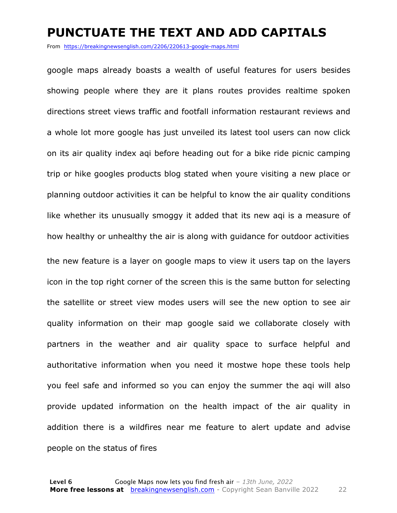#### **PUNCTUATE THE TEXT AND ADD CAPITALS**

From https://breakingnewsenglish.com/2206/220613-google-maps.html

google maps already boasts a wealth of useful features for users besides showing people where they are it plans routes provides realtime spoken directions street views traffic and footfall information restaurant reviews and a whole lot more google has just unveiled its latest tool users can now click on its air quality index aqi before heading out for a bike ride picnic camping trip or hike googles products blog stated when youre visiting a new place or planning outdoor activities it can be helpful to know the air quality conditions like whether its unusually smoggy it added that its new aqi is a measure of how healthy or unhealthy the air is along with guidance for outdoor activities the new feature is a layer on google maps to view it users tap on the layers icon in the top right corner of the screen this is the same button for selecting the satellite or street view modes users will see the new option to see air quality information on their map google said we collaborate closely with partners in the weather and air quality space to surface helpful and authoritative information when you need it mostwe hope these tools help you feel safe and informed so you can enjoy the summer the aqi will also provide updated information on the health impact of the air quality in addition there is a wildfires near me feature to alert update and advise people on the status of fires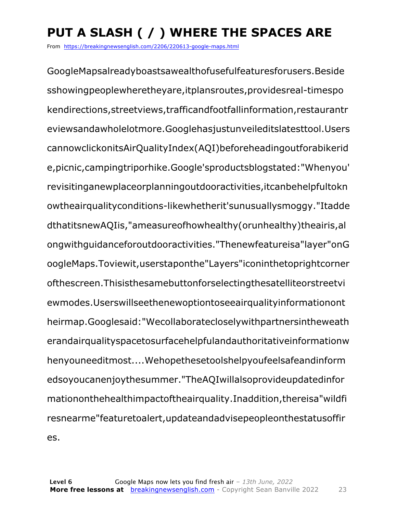### **PUT A SLASH ( / ) WHERE THE SPACES ARE**

From https://breakingnewsenglish.com/2206/220613-google-maps.html

GoogleMapsalreadyboastsawealthofusefulfeaturesforusers.Beside sshowingpeoplewheretheyare,itplansroutes,providesreal-timespo kendirections,streetviews,trafficandfootfallinformation,restaurantr eviewsandawholelotmore.Googlehasjustunveileditslatesttool.Users cannowclickonitsAirQualityIndex(AQI)beforeheadingoutforabikerid e,picnic,campingtriporhike.Google'sproductsblogstated:"Whenyou' revisitinganewplaceorplanningoutdooractivities,itcanbehelpfultokn owtheairqualityconditions-likewhetherit'sunusuallysmoggy."Itadde dthatitsnewAQIis,"ameasureofhowhealthy(orunhealthy)theairis,al ongwithguidanceforoutdooractivities."Thenewfeatureisa"layer"onG oogleMaps.Toviewit,userstaponthe"Layers"iconinthetoprightcorner ofthescreen.Thisisthesamebuttonforselectingthesatelliteorstreetvi ewmodes.Userswillseethenewoptiontoseeairqualityinformationont heirmap.Googlesaid:"Wecollaboratecloselywithpartnersintheweath erandairqualityspacetosurfacehelpfulandauthoritativeinformationw henyouneeditmost....Wehopethesetoolshelpyoufeelsafeandinform edsoyoucanenjoythesummer."TheAQIwillalsoprovideupdatedinfor mationonthehealthimpactoftheairquality.Inaddition,thereisa"wildfi resnearme"featuretoalert,updateandadvisepeopleonthestatusoffir es.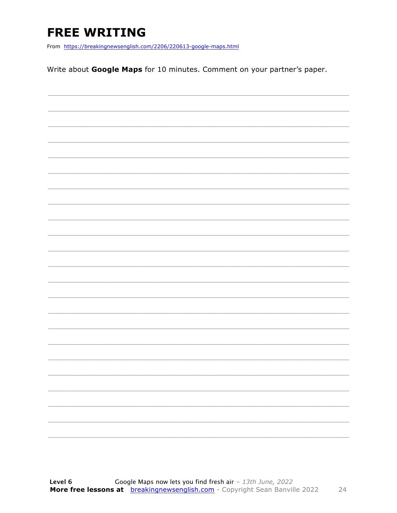### **FREE WRITING**

From https://breakingnewsenglish.com/2206/220613-google-maps.html

Write about Google Maps for 10 minutes. Comment on your partner's paper.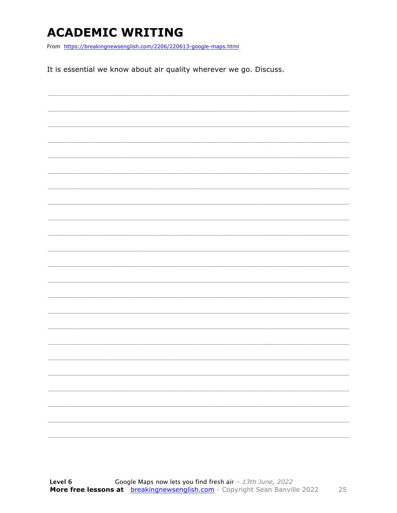### **ACADEMIC WRITING**

From https://breakingnewsenglish.com/2206/220613-google-maps.html

It is essential we know about air quality wherever we go. Discuss.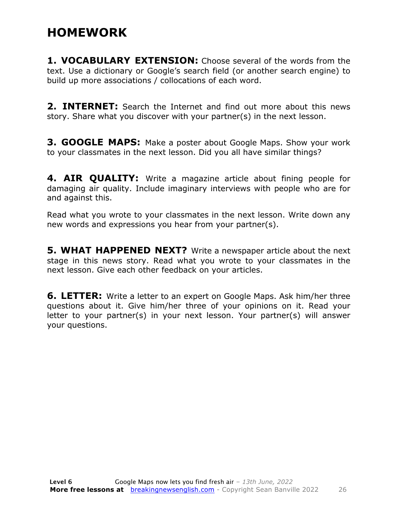#### **HOMEWORK**

**1. VOCABULARY EXTENSION:** Choose several of the words from the text. Use a dictionary or Google's search field (or another search engine) to build up more associations / collocations of each word.

**2. INTERNET:** Search the Internet and find out more about this news story. Share what you discover with your partner(s) in the next lesson.

**3. GOOGLE MAPS:** Make a poster about Google Maps. Show your work to your classmates in the next lesson. Did you all have similar things?

**4. AIR QUALITY:** Write a magazine article about fining people for damaging air quality. Include imaginary interviews with people who are for and against this.

Read what you wrote to your classmates in the next lesson. Write down any new words and expressions you hear from your partner(s).

**5. WHAT HAPPENED NEXT?** Write a newspaper article about the next stage in this news story. Read what you wrote to your classmates in the next lesson. Give each other feedback on your articles.

**6. LETTER:** Write a letter to an expert on Google Maps. Ask him/her three questions about it. Give him/her three of your opinions on it. Read your letter to your partner(s) in your next lesson. Your partner(s) will answer your questions.